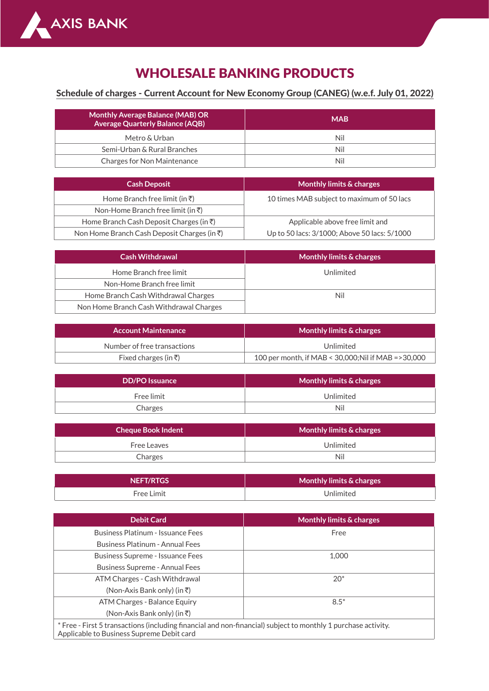

## WHOLESALE BANKING PRODUCTS

## Schedule of charges - Current Account for New Economy Group (CANEG) (w.e.f. July 01, 2022)

| <b>Monthly Average Balance (MAB) OR</b><br><b>Average Quarterly Balance (AQB)</b> | <b>MAB</b> |
|-----------------------------------------------------------------------------------|------------|
| Metro & Urban                                                                     | Nil        |
| Semi-Urban & Rural Branches                                                       | Nil        |
| Charges for Non Maintenance                                                       | Nil        |

| <b>Cash Deposit</b>                                 | Monthly limits & charges                     |
|-----------------------------------------------------|----------------------------------------------|
| Home Branch free limit (in $\bar{\tau}$ )           | 10 times MAB subject to maximum of 50 lacs   |
| Non-Home Branch free limit (in $\bar{z}$ )          |                                              |
| Home Branch Cash Deposit Charges (in $\bar{\tau}$ ) | Applicable above free limit and              |
| Non Home Branch Cash Deposit Charges (in ₹)         | Up to 50 lacs: 3/1000; Above 50 lacs: 5/1000 |

| <b>Cash Withdrawal</b>                  | Monthly limits & charges |
|-----------------------------------------|--------------------------|
| Home Branch free limit                  | Unlimited                |
| Non-Home Branch free limit              |                          |
| Home Branch Cash Withdrawal Charges     | Nil                      |
| Non Home Branch Cash Withdrawal Charges |                          |

| <b>Account Maintenance</b>  | Monthly limits & charges                              |
|-----------------------------|-------------------------------------------------------|
| Number of free transactions | Unlimited                                             |
| Fixed charges (in ₹)        | 100 per month, if MAB < 30,000; Nil if MAB = > 30,000 |

| <b>DD/PO</b> Issuance | <b>Monthly limits &amp; charges</b> |
|-----------------------|-------------------------------------|
| Free limit            | Unlimited                           |
| Charges               | Nil                                 |

| <b>Cheque Book Indent</b> | Monthly limits & charges ' |
|---------------------------|----------------------------|
| Free Leaves               | Unlimited                  |
| Charges                   | Nil                        |

| <b>NEFT/RTGS</b> | Monthly limits & charges |
|------------------|--------------------------|
| Free Limit       | Unlimited                |

| <b>Debit Card</b>                                                                                                                                          | <b>Monthly limits &amp; charges</b> |
|------------------------------------------------------------------------------------------------------------------------------------------------------------|-------------------------------------|
| Business Platinum - Issuance Fees                                                                                                                          | Free                                |
| Business Platinum - Annual Fees                                                                                                                            |                                     |
| <b>Business Supreme - Issuance Fees</b>                                                                                                                    | 1,000                               |
| Business Supreme - Annual Fees                                                                                                                             |                                     |
| ATM Charges - Cash Withdrawal                                                                                                                              | $20*$                               |
| $(Non-Axis Bank only)$ (in $\bar{z}$ )                                                                                                                     |                                     |
| ATM Charges - Balance Equiry                                                                                                                               | $8.5*$                              |
| $(Non-Axis Bank only)$ (in ₹)                                                                                                                              |                                     |
| * Free - First 5 transactions (including financial and non-financial) subject to monthly 1 purchase activity.<br>Applicable to Business Supreme Debit card |                                     |